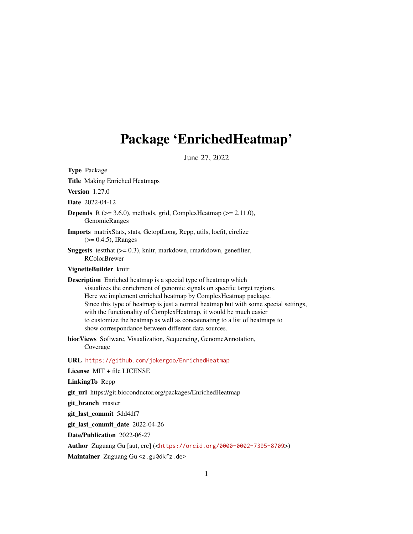# <span id="page-0-0"></span>Package 'EnrichedHeatmap'

June 27, 2022

Type Package Title Making Enriched Heatmaps Version 1.27.0 Date 2022-04-12 **Depends** R  $(>= 3.6.0)$ , methods, grid, ComplexHeatmap  $(>= 2.11.0)$ , GenomicRanges Imports matrixStats, stats, GetoptLong, Rcpp, utils, locfit, circlize (>= 0.4.5), IRanges **Suggests** test that  $(>= 0.3)$ , knitr, markdown, rmarkdown, genefilter, RColorBrewer VignetteBuilder knitr Description Enriched heatmap is a special type of heatmap which visualizes the enrichment of genomic signals on specific target regions. Here we implement enriched heatmap by ComplexHeatmap package. Since this type of heatmap is just a normal heatmap but with some special settings, with the functionality of ComplexHeatmap, it would be much easier to customize the heatmap as well as concatenating to a list of heatmaps to show correspondance between different data sources. biocViews Software, Visualization, Sequencing, GenomeAnnotation, Coverage URL <https://github.com/jokergoo/EnrichedHeatmap> License MIT + file LICENSE LinkingTo Rcpp git\_url https://git.bioconductor.org/packages/EnrichedHeatmap git\_branch master git\_last\_commit 5dd4df7 git\_last\_commit\_date 2022-04-26 Date/Publication 2022-06-27 Author Zuguang Gu [aut, cre] (<<https://orcid.org/0000-0002-7395-8709>>)

Maintainer Zuguang Gu <z.gu@dkfz.de>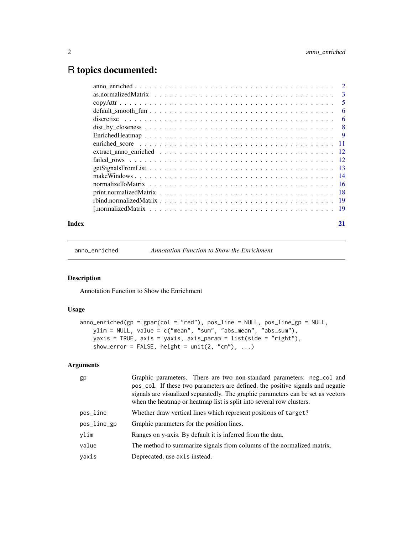# <span id="page-1-0"></span>R topics documented:

| 3   |
|-----|
| 5   |
| -6  |
| - 6 |
| - 8 |
|     |
|     |
|     |
|     |
|     |
|     |
|     |
|     |
|     |
|     |
|     |

#### **Index** [21](#page-20-0)

<span id="page-1-1"></span>anno\_enriched *Annotation Function to Show the Enrichment*

# Description

Annotation Function to Show the Enrichment

#### Usage

```
anno\_enriched(gp = gpar(col = "red"), pos\_line = NULL, pos\_line\_gp = NULL,ylim = NULL, value = c("mean", "sum", "abs_mean", "abs_sum"),
   yaxis = TRUE, axis = yaxis, axis_param = list(side = "right"),
   show_error = FALSE, height = unit(2, "cm"), ...
```
# Arguments

| gp          | Graphic parameters. There are two non-standard parameters: neg_col and<br>pos_col. If these two parameters are defined, the positive signals and negatie<br>signals are visualized separatedly. The graphic parameters can be set as vectors<br>when the heatmap or heatmap list is split into several row clusters. |
|-------------|----------------------------------------------------------------------------------------------------------------------------------------------------------------------------------------------------------------------------------------------------------------------------------------------------------------------|
| pos_line    | Whether draw vertical lines which represent positions of target?                                                                                                                                                                                                                                                     |
| pos_line_gp | Graphic parameters for the position lines.                                                                                                                                                                                                                                                                           |
| ylim        | Ranges on y-axis. By default it is inferred from the data.                                                                                                                                                                                                                                                           |
| value       | The method to summarize signals from columns of the normalized matrix.                                                                                                                                                                                                                                               |
| yaxis       | Deprecated, use axis instead.                                                                                                                                                                                                                                                                                        |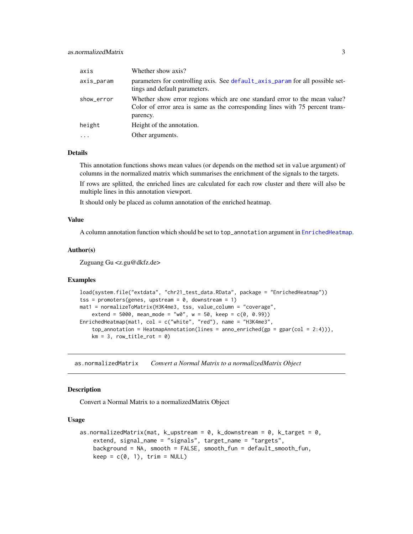<span id="page-2-0"></span>

| axis       | Whether show axis?                                                                                                                                                      |
|------------|-------------------------------------------------------------------------------------------------------------------------------------------------------------------------|
| axis_param | parameters for controlling axis. See default_axis_param for all possible set-<br>tings and default parameters.                                                          |
| show_error | Whether show error regions which are one standard error to the mean value?<br>Color of error area is same as the corresponding lines with 75 percent trans-<br>parency. |
| height     | Height of the annotation.                                                                                                                                               |
| $\ddotsc$  | Other arguments.                                                                                                                                                        |

#### Details

This annotation functions shows mean values (or depends on the method set in value argument) of columns in the normalized matrix which summarises the enrichment of the signals to the targets.

If rows are splitted, the enriched lines are calculated for each row cluster and there will also be multiple lines in this annotation viewport.

It should only be placed as column annotation of the enriched heatmap.

# Value

A column annotation function which should be set to top\_annotation argument in [EnrichedHeatmap](#page-8-1).

#### Author(s)

Zuguang Gu <z.gu@dkfz.de>

#### Examples

```
load(system.file("extdata", "chr21_test_data.RData", package = "EnrichedHeatmap"))
tss = promoters(genes, upstream = 0, downstream = 1)
mat1 = normalizeToMatrix(H3K4me3, tss, value_column = "coverage",
    extend = 5000, mean_mode = "w0", w = 50, keep = c(0, 0.99))
EnrichedHeatmap(mat1, col = c("white", "red"), name = "H3K4me3",
    top_annotation = HeatmapAnnotation(lines = anno_enriched(gp = gpar(col = 2:4))),
    km = 3, row_title_rot = 0)
```
as.normalizedMatrix *Convert a Normal Matrix to a normalizedMatrix Object*

#### Description

Convert a Normal Matrix to a normalizedMatrix Object

#### Usage

```
as.normalizedMatrix(mat, k_upstream = 0, k_downstream = 0, k_target = 0,
   extend, signal_name = "signals", target_name = "targets",
   background = NA, smooth = FALSE, smooth_fun = default_smooth_fun,
   keep = c(0, 1), trim = NULL)
```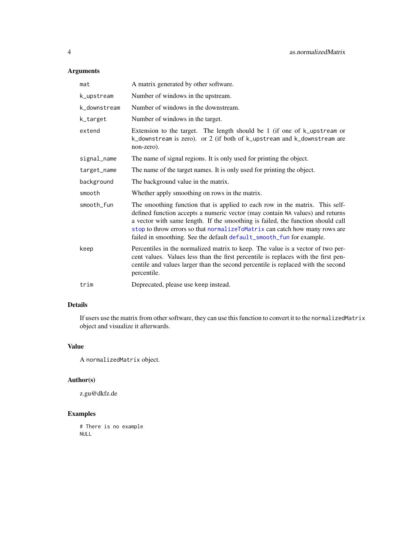# <span id="page-3-0"></span>Arguments

| mat          | A matrix generated by other software.                                                                                                                                                                                                                                                                                                                                                                  |
|--------------|--------------------------------------------------------------------------------------------------------------------------------------------------------------------------------------------------------------------------------------------------------------------------------------------------------------------------------------------------------------------------------------------------------|
| k_upstream   | Number of windows in the upstream.                                                                                                                                                                                                                                                                                                                                                                     |
| k_downstream | Number of windows in the downstream.                                                                                                                                                                                                                                                                                                                                                                   |
| k_target     | Number of windows in the target.                                                                                                                                                                                                                                                                                                                                                                       |
| extend       | Extension to the target. The length should be 1 (if one of $k$ _upstream or<br>k_downstream is zero). or 2 (if both of k_upstream and k_downstream are<br>non-zero).                                                                                                                                                                                                                                   |
| signal_name  | The name of signal regions. It is only used for printing the object.                                                                                                                                                                                                                                                                                                                                   |
| target_name  | The name of the target names. It is only used for printing the object.                                                                                                                                                                                                                                                                                                                                 |
| background   | The background value in the matrix.                                                                                                                                                                                                                                                                                                                                                                    |
| smooth       | Whether apply smoothing on rows in the matrix.                                                                                                                                                                                                                                                                                                                                                         |
| smooth_fun   | The smoothing function that is applied to each row in the matrix. This self-<br>defined function accepts a numeric vector (may contain NA values) and returns<br>a vector with same length. If the smoothing is failed, the function should call<br>stop to throw errors so that normalizeToMatrix can catch how many rows are<br>failed in smoothing. See the default default_smooth_fun for example. |
| keep         | Percentiles in the normalized matrix to keep. The value is a vector of two per-<br>cent values. Values less than the first percentile is replaces with the first pen-<br>centile and values larger than the second percentile is replaced with the second<br>percentile.                                                                                                                               |
| trim         | Deprecated, please use keep instead.                                                                                                                                                                                                                                                                                                                                                                   |
|              |                                                                                                                                                                                                                                                                                                                                                                                                        |

# Details

If users use the matrix from other software, they can use this function to convert it to the normalizedMatrix object and visualize it afterwards.

# Value

A normalizedMatrix object.

# Author(s)

z.gu@dkfz.de

# Examples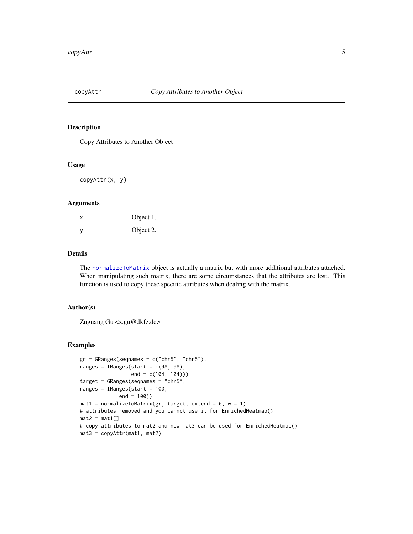<span id="page-4-0"></span>

### Description

Copy Attributes to Another Object

#### Usage

copyAttr(x, y)

#### Arguments

| X        | Object 1. |
|----------|-----------|
| <b>V</b> | Object 2. |

# Details

The [normalizeToMatrix](#page-15-1) object is actually a matrix but with more additional attributes attached. When manipulating such matrix, there are some circumstances that the attributes are lost. This function is used to copy these specific attributes when dealing with the matrix.

# Author(s)

Zuguang Gu <z.gu@dkfz.de>

#### Examples

```
gr = GRanges(seqnames = c("chr5", "chr5"),ranges = IRanges(start = c(98, 98),
                 end = c(104, 104)))
target = GRanges(seqnames = "chr5",
ranges = IRanges(start = 100,
             end = 100))
mat1 = normalizeToMatrix(gr, target, extend = 6, w = 1)# attributes removed and you cannot use it for EnrichedHeatmap()
mat2 = mat1[]# copy attributes to mat2 and now mat3 can be used for EnrichedHeatmap()
mat3 = copyAttr(mat1, mat2)
```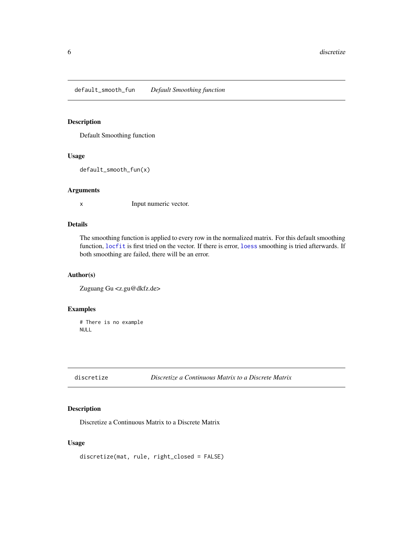<span id="page-5-1"></span><span id="page-5-0"></span>default\_smooth\_fun *Default Smoothing function*

# Description

Default Smoothing function

# Usage

```
default_smooth_fun(x)
```
#### Arguments

x Input numeric vector.

# Details

The smoothing function is applied to every row in the normalized matrix. For this default smoothing function, [locfit](#page-0-0) is first tried on the vector. If there is error, [loess](#page-0-0) smoothing is tried afterwards. If both smoothing are failed, there will be an error.

# Author(s)

Zuguang Gu <z.gu@dkfz.de>

#### Examples

# There is no example NULL

#### Description

Discretize a Continuous Matrix to a Discrete Matrix

# Usage

```
discretize(mat, rule, right_closed = FALSE)
```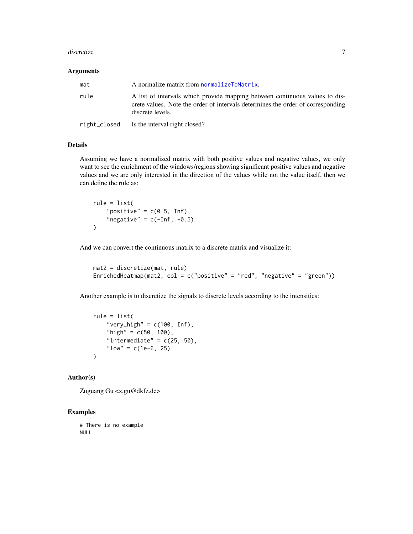#### <span id="page-6-0"></span>discretize **7**

#### Arguments

| mat  | A normalize matrix from normalizeToMatrix.                                                                                                                                         |
|------|------------------------------------------------------------------------------------------------------------------------------------------------------------------------------------|
| rule | A list of intervals which provide mapping between continuous values to dis-<br>crete values. Note the order of intervals determines the order of corresponding<br>discrete levels. |
|      | right_closed Is the interval right closed?                                                                                                                                         |

# Details

Assuming we have a normalized matrix with both positive values and negative values, we only want to see the enrichment of the windows/regions showing significant positive values and negative values and we are only interested in the direction of the values while not the value itself, then we can define the rule as:

rule = list( "positive" =  $c(0.5, Inf)$ , "negative" =  $c(-Inf, -0.5)$  $\lambda$ 

And we can convert the continuous matrix to a discrete matrix and visualize it:

```
mat2 = discretize(mat, rule)
EnrichedHeatmap(mat2, col = c("positive" = "red", "negative" = "green"))
```
Another example is to discretize the signals to discrete levels according to the intensities:

```
rule = list(
    "very_high" = c(100, Inf),
    "high" = c(50, 100),
    "intermediate" = c(25, 50),
    "low" = c(1e-6, 25))
```
# Author(s)

Zuguang Gu <z.gu@dkfz.de>

# Examples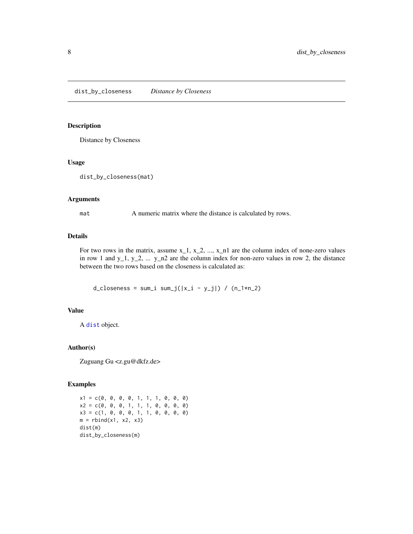# <span id="page-7-0"></span>Description

Distance by Closeness

### Usage

```
dist_by_closeness(mat)
```
#### Arguments

mat A numeric matrix where the distance is calculated by rows.

# Details

For two rows in the matrix, assume  $x_1, x_2, ..., x_n$  are the column index of none-zero values in row 1 and  $y_1$ ,  $y_2$ , ...  $y_n$  are the column index for non-zero values in row 2, the distance between the two rows based on the closeness is calculated as:

 $d_{\text{c}}$ loseness = sum\_i sum\_j(|x\_i - y\_j|) / (n\_1\*n\_2)

#### Value

A [dist](#page-0-0) object.

#### Author(s)

Zuguang Gu <z.gu@dkfz.de>

#### Examples

 $x1 = c(0, 0, 0, 0, 1, 1, 1, 0, 0, 0)$  $x2 = c(0, 0, 0, 1, 1, 1, 0, 0, 0, 0)$  $x3 = c(1, 0, 0, 0, 1, 1, 0, 0, 0, 0)$  $m =$  rbind(x1, x2, x3) dist(m) dist\_by\_closeness(m)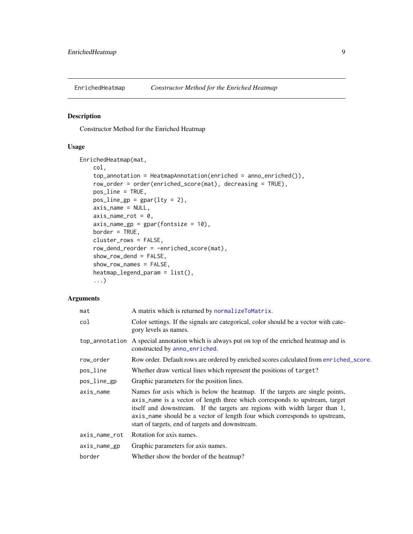<span id="page-8-1"></span><span id="page-8-0"></span>

# Description

Constructor Method for the Enriched Heatmap

# Usage

EnrichedHeatmap(mat, col,

```
top_annotation = HeatmapAnnotation(enriched = anno_enriched()),
row_order = order(enriched_score(mat), decreasing = TRUE),
pos_line = TRUE,
pos\_line\_gp = gpar(lty = 2),
axis_name = NULL,
axis_name\_rot = 0,
axis_name\_gp = gpar(fontsize = 10),
border = TRUE,
cluster_rows = FALSE,
row_dend_reorder = -enriched_score(mat),
show_row_dend = FALSE,
show_row_names = FALSE,
heatmap_legend_param = list(),
...)
```
# Arguments

| A matrix which is returned by normalizeToMatrix.                                                                                                                                                                                                                                                                                                                             |
|------------------------------------------------------------------------------------------------------------------------------------------------------------------------------------------------------------------------------------------------------------------------------------------------------------------------------------------------------------------------------|
| Color settings. If the signals are categorical, color should be a vector with cate-<br>gory levels as names.                                                                                                                                                                                                                                                                 |
| top_annotation A special annotation which is always put on top of the enriched heatmap and is<br>constructed by anno_enriched.                                                                                                                                                                                                                                               |
| Row order. Default rows are ordered by enriched scores calculated from enriched_score.                                                                                                                                                                                                                                                                                       |
| Whether draw vertical lines which represent the positions of target?                                                                                                                                                                                                                                                                                                         |
| Graphic parameters for the position lines.                                                                                                                                                                                                                                                                                                                                   |
| Names for axis which is below the heatmap. If the targets are single points,<br>axis_name is a vector of length three which corresponds to upstream, target<br>itself and downstream. If the targets are regions with width larger than 1,<br>axis_name should be a vector of length four which corresponds to upstream,<br>start of targets, end of targets and downstream. |
| Rotation for axis names.                                                                                                                                                                                                                                                                                                                                                     |
| Graphic parameters for axis names.                                                                                                                                                                                                                                                                                                                                           |
| Whether show the border of the heatmap?                                                                                                                                                                                                                                                                                                                                      |
|                                                                                                                                                                                                                                                                                                                                                                              |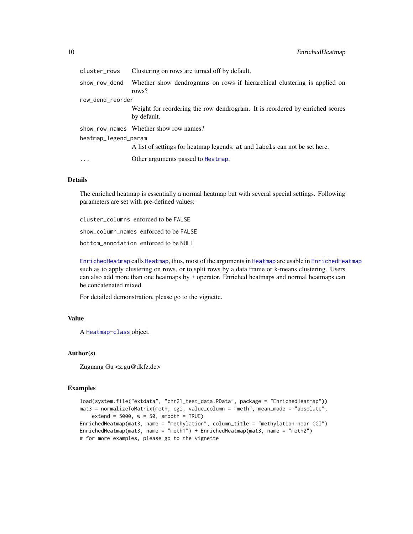<span id="page-9-0"></span>

| cluster_rows         | Clustering on rows are turned off by default.                                               |
|----------------------|---------------------------------------------------------------------------------------------|
| show_row_dend        | Whether show dendrograms on rows if hierarchical clustering is applied on<br>rows?          |
| row_dend_reorder     |                                                                                             |
|                      | Weight for reordering the row dendrogram. It is reordered by enriched scores<br>by default. |
|                      | show_row_names Whether show row names?                                                      |
| heatmap_legend_param |                                                                                             |
|                      | A list of settings for heatmap legends, at and labels can not be set here.                  |
| $\ddots$ .           | Other arguments passed to Heatmap.                                                          |

#### Details

The enriched heatmap is essentially a normal heatmap but with several special settings. Following parameters are set with pre-defined values:

cluster\_columns enforced to be FALSE show\_column\_names enforced to be FALSE bottom\_annotation enforced to be NULL

[EnrichedHeatmap](#page-8-1) calls [Heatmap](#page-0-0), thus, most of the arguments in [Heatmap](#page-0-0) are usable in [EnrichedHeatmap](#page-8-1) such as to apply clustering on rows, or to split rows by a data frame or k-means clustering. Users can also add more than one heatmaps by + operator. Enriched heatmaps and normal heatmaps can be concatenated mixed.

For detailed demonstration, please go to the vignette.

# Value

A [Heatmap-class](#page-0-0) object.

# Author(s)

Zuguang Gu <z.gu@dkfz.de>

#### Examples

```
load(system.file("extdata", "chr21_test_data.RData", package = "EnrichedHeatmap"))
mat3 = normalizeToMatrix(meth, cgi, value_column = "meth", mean_mode = "absolute",
    extend = 5000, w = 50, smooth = TRUE)
EnrichedHeatmap(mat3, name = "methylation", column_title = "methylation near CGI")
EnrichedHeatmap(mat3, name = "meth1") + EnrichedHeatmap(mat3, name = "meth2")
# for more examples, please go to the vignette
```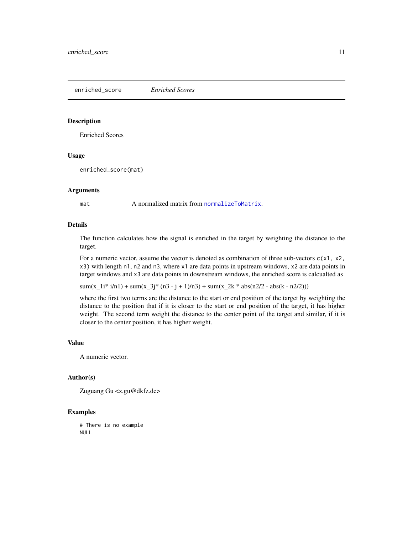<span id="page-10-1"></span><span id="page-10-0"></span>enriched\_score *Enriched Scores*

#### Description

Enriched Scores

# Usage

enriched\_score(mat)

#### Arguments

mat A normalized matrix from [normalizeToMatrix](#page-15-1).

#### Details

The function calculates how the signal is enriched in the target by weighting the distance to the target.

For a numeric vector, assume the vector is denoted as combination of three sub-vectors  $c(x1, x2)$ , x3) with length n1, n2 and n3, where x1 are data points in upstream windows, x2 are data points in target windows and x3 are data points in downstream windows, the enriched score is calcualted as

 $sum(x_1^3 * i/n1) + sum(x_2^3 * (n3 - i + 1)/n3) + sum(x_2^2 * abs(n2/2 - abs(k - n2/2)))$ 

where the first two terms are the distance to the start or end position of the target by weighting the distance to the position that if it is closer to the start or end position of the target, it has higher weight. The second term weight the distance to the center point of the target and similar, if it is closer to the center position, it has higher weight.

#### Value

A numeric vector.

# Author(s)

Zuguang Gu <z.gu@dkfz.de>

# Examples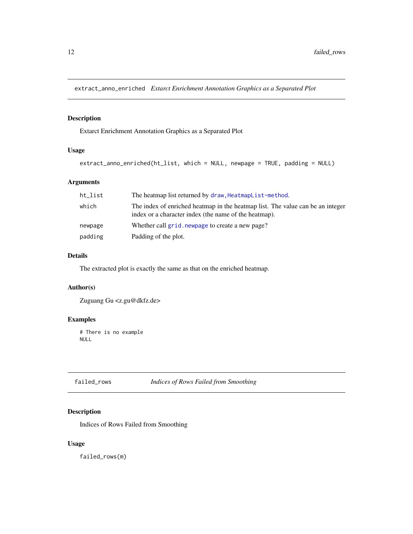<span id="page-11-0"></span>extract\_anno\_enriched *Extarct Enrichment Annotation Graphics as a Separated Plot*

# Description

Extarct Enrichment Annotation Graphics as a Separated Plot

### Usage

```
extract_anno_enriched(ht_list, which = NULL, newpage = TRUE, padding = NULL)
```
# Arguments

| ht_list | The heatmap list returned by draw, HeatmapList-method.                                                                                  |
|---------|-----------------------------------------------------------------------------------------------------------------------------------------|
| which   | The index of enriched heatmap in the heatmap list. The value can be an integer<br>index or a character index (the name of the heatmap). |
| newpage | Whether call grid. newpage to create a new page?                                                                                        |
| padding | Padding of the plot.                                                                                                                    |

# Details

The extracted plot is exactly the same as that on the enriched heatmap.

# Author(s)

Zuguang Gu <z.gu@dkfz.de>

# Examples

# There is no example NULL

failed\_rows *Indices of Rows Failed from Smoothing*

# Description

Indices of Rows Failed from Smoothing

#### Usage

failed\_rows(m)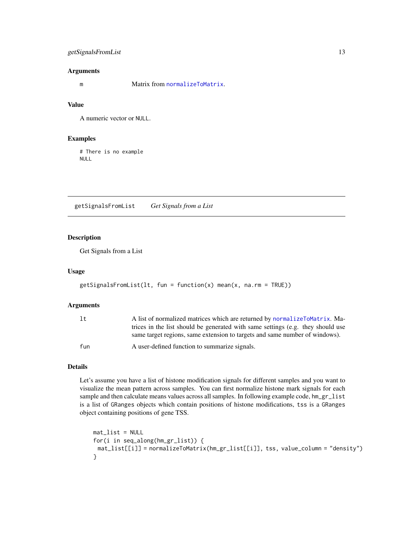# <span id="page-12-0"></span>getSignalsFromList 13

#### Arguments

m Matrix from [normalizeToMatrix](#page-15-1).

#### Value

A numeric vector or NULL.

#### Examples

# There is no example NULL

<span id="page-12-1"></span>getSignalsFromList *Get Signals from a List*

# Description

Get Signals from a List

#### Usage

```
getSignalsFromList(lt, fun = function(x) mean(x, na.rm = TRUE))
```
#### Arguments

| 1t  | A list of normalized matrices which are returned by normalizeToMatrix. Ma-      |
|-----|---------------------------------------------------------------------------------|
|     | trices in the list should be generated with same settings (e.g. they should use |
|     | same target regions, same extension to targets and same number of windows).     |
| fun | A user-defined function to summarize signals.                                   |

#### Details

Let's assume you have a list of histone modification signals for different samples and you want to visualize the mean pattern across samples. You can first normalize histone mark signals for each sample and then calculate means values across all samples. In following example code,  $hm\_gr\_list$ is a list of GRanges objects which contain positions of histone modifications, tss is a GRanges object containing positions of gene TSS.

```
mat_list = NULLfor(i in seq_along(hm_gr_list)) {
 mat_list[[i]] = normalizeToMatrix(hm_gr_list[[i]], tss, value_column = "density")
}
```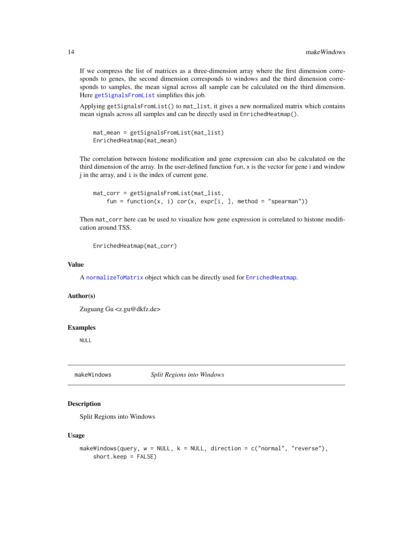<span id="page-13-0"></span>If we compress the list of matrices as a three-dimension array where the first dimension corresponds to genes, the second dimension corresponds to windows and the third dimension corresponds to samples, the mean signal across all sample can be calculated on the third dimension. Here [getSignalsFromList](#page-12-1) simplifies this job.

Applying getSignalsFromList() to mat\_list, it gives a new normalized matrix which contains mean signals across all samples and can be directly used in EnrichedHeatmap().

```
mat_mean = getSignalsFromList(mat_list)
EnrichedHeatmap(mat_mean)
```
The correlation between histone modification and gene expression can also be calculated on the third dimension of the array. In the user-defined function fun, x is the vector for gene i and window j in the array, and i is the index of current gene.

```
mat_corr = getSignalsFromList(mat_list,
   fun = function(x, i) cor(x, expr[i, ], method = "spearman"))
```
Then mat\_corr here can be used to visualize how gene expression is correlated to histone modification around TSS.

```
EnrichedHeatmap(mat_corr)
```
#### Value

A [normalizeToMatrix](#page-15-1) object which can be directly used for [EnrichedHeatmap](#page-8-1).

# Author(s)

Zuguang Gu <z.gu@dkfz.de>

#### Examples

NULL

makeWindows *Split Regions into Windows*

#### Description

Split Regions into Windows

#### Usage

```
makeWindows(query, w = NULL, k = NULL, direction = c("normal", "reverse"),
   short.keep = FALSE)
```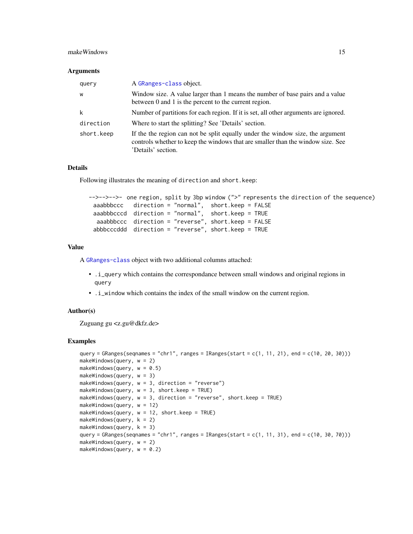#### make Windows 2008 and the contract of the contract of the contract of the contract of the contract of the contract of the contract of the contract of the contract of the contract of the contract of the contract of the cont

#### Arguments

| query      | A GRanges-class object.                                                                                                                                                                 |
|------------|-----------------------------------------------------------------------------------------------------------------------------------------------------------------------------------------|
| W          | Window size. A value larger than 1 means the number of base pairs and a value<br>between 0 and 1 is the percent to the current region.                                                  |
| k          | Number of partitions for each region. If it is set, all other arguments are ignored.                                                                                                    |
| direction  | Where to start the splitting? See 'Details' section.                                                                                                                                    |
| short.keep | If the the region can not be split equally under the window size, the argument<br>controls whether to keep the windows that are smaller than the window size. See<br>'Details' section. |

# Details

Following illustrates the meaning of direction and short.keep:

```
-->-->-->- one region, split by 3bp window (">" represents the direction of the sequence)
 aaabbbccc direction = "normal", short.keep = FALSE
 aaabbbcccd direction = "normal", short.keep = TRUE
  aaabbbccc direction = "reverse", short.keep = FALSE
 abbbcccddd direction = "reverse", short.keep = TRUE
```
#### Value

A [GRanges-class](#page-0-0) object with two additional columns attached:

- .i\_query which contains the correspondance between small windows and original regions in query
- .i\_window which contains the index of the small window on the current region.

#### Author(s)

Zuguang gu <z.gu@dkfz.de>

#### Examples

```
query = GRanges(seqnames = "chr1", ranges = IRanges(start = c(1, 11, 21), end = c(10, 20, 30)))
makeWindows(query, w = 2)
makeWindows(query, w = 0.5)
makeWindows(query, w = 3)
makeWindows(query, w = 3, direction = "reverse")
makeWindows(query, w = 3, short.keep = TRUE)makeWindows(query, w = 3, direction = "reverse", short.keep = TRUE)
makeWindows(query, w = 12)
makeWindows(query, w = 12, short.keep = TRUE)
makeWindows(query, k = 2)
makeWindows(query, k = 3)
query = GRanges(seqnames = "chr1", ranges = IRanges(start = c(1, 11, 31), end = c(10, 30, 70))
makeWindows(query, w = 2)
makeWindows(query, w = 0.2)
```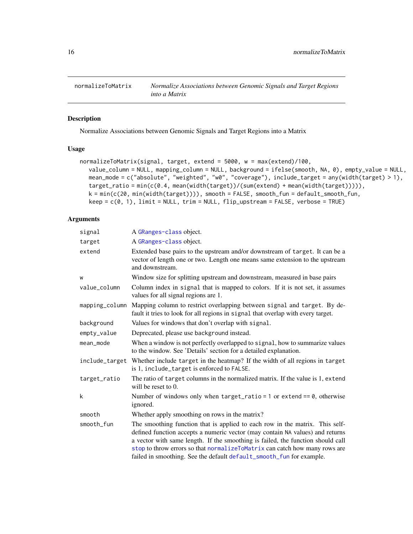<span id="page-15-1"></span><span id="page-15-0"></span>

# Description

Normalize Associations between Genomic Signals and Target Regions into a Matrix

# Usage

```
normalizeToMatrix(signal, target, extend = 5000, w = max(extend)/100,
  value_column = NULL, mapping_column = NULL, background = ifelse(smooth, NA, 0), empty_value = NULL,
  mean_mode = c("absolute", "weighted", "w0", "coverage"), include_target = any(width(target) > 1),
  target_ratio = min(c(0.4, mean(width(target))/(sum(extend) + mean(width(target))))),
  k = min(c(20, min(width(target)))), smooth = FALSE, smooth_fun = default_smooth_fun,
  keep = c(0, 1), limit = NULL, trim = NULL, flip_upstream = FALSE, verbose = TRUE)
```
# Arguments

| signal         | A GRanges-class object.                                                                                                                                                                                                                                                                                                                                                                                |
|----------------|--------------------------------------------------------------------------------------------------------------------------------------------------------------------------------------------------------------------------------------------------------------------------------------------------------------------------------------------------------------------------------------------------------|
| target         | A GRanges-class object.                                                                                                                                                                                                                                                                                                                                                                                |
| extend         | Extended base pairs to the upstream and/or downstream of target. It can be a<br>vector of length one or two. Length one means same extension to the upstream<br>and downstream.                                                                                                                                                                                                                        |
| W              | Window size for splitting upstream and downstream, measured in base pairs                                                                                                                                                                                                                                                                                                                              |
| value_column   | Column index in signal that is mapped to colors. If it is not set, it assumes<br>values for all signal regions are 1.                                                                                                                                                                                                                                                                                  |
| mapping_column | Mapping column to restrict overlapping between signal and target. By de-<br>fault it tries to look for all regions in signal that overlap with every target.                                                                                                                                                                                                                                           |
| background     | Values for windows that don't overlap with signal.                                                                                                                                                                                                                                                                                                                                                     |
| empty_value    | Deprecated, please use background instead.                                                                                                                                                                                                                                                                                                                                                             |
| mean_mode      | When a window is not perfectly overlapped to signal, how to summarize values<br>to the window. See 'Details' section for a detailed explanation.                                                                                                                                                                                                                                                       |
| include_target | Whether include target in the heatmap? If the width of all regions in target<br>is 1, include_target is enforced to FALSE.                                                                                                                                                                                                                                                                             |
| target_ratio   | The ratio of target columns in the normalized matrix. If the value is 1, extend<br>will be reset to $0$ .                                                                                                                                                                                                                                                                                              |
| k              | Number of windows only when $target\_ratio = 1$ or extend == 0, otherwise<br>ignored.                                                                                                                                                                                                                                                                                                                  |
| smooth         | Whether apply smoothing on rows in the matrix?                                                                                                                                                                                                                                                                                                                                                         |
| smooth_fun     | The smoothing function that is applied to each row in the matrix. This self-<br>defined function accepts a numeric vector (may contain NA values) and returns<br>a vector with same length. If the smoothing is failed, the function should call<br>stop to throw errors so that normalizeToMatrix can catch how many rows are<br>failed in smoothing. See the default default_smooth_fun for example. |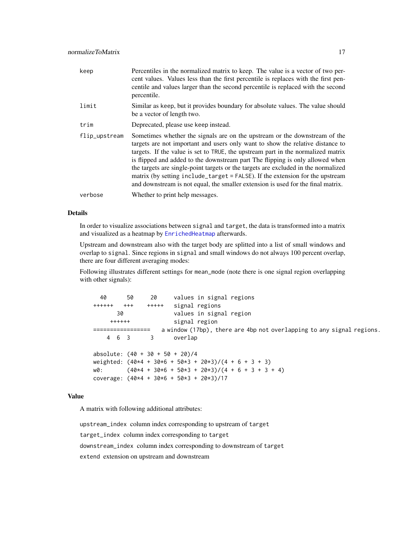<span id="page-16-0"></span>

| keep          | Percentiles in the normalized matrix to keep. The value is a vector of two per-<br>cent values. Values less than the first percentile is replaces with the first pen-<br>centile and values larger than the second percentile is replaced with the second<br>percentile.                                                                                                                                                                                                                                                                                                                     |
|---------------|----------------------------------------------------------------------------------------------------------------------------------------------------------------------------------------------------------------------------------------------------------------------------------------------------------------------------------------------------------------------------------------------------------------------------------------------------------------------------------------------------------------------------------------------------------------------------------------------|
| limit         | Similar as keep, but it provides boundary for absolute values. The value should<br>be a vector of length two.                                                                                                                                                                                                                                                                                                                                                                                                                                                                                |
| trim          | Deprecated, please use keep instead.                                                                                                                                                                                                                                                                                                                                                                                                                                                                                                                                                         |
| flip_upstream | Sometimes whether the signals are on the upstream or the downstream of the<br>targets are not important and users only want to show the relative distance to<br>targets. If the value is set to TRUE, the upstream part in the normalized matrix<br>is flipped and added to the downstream part The flipping is only allowed when<br>the targets are single-point targets or the targets are excluded in the normalized<br>matrix (by setting include_target = FALSE). If the extension for the upstream<br>and downstream is not equal, the smaller extension is used for the final matrix. |
| verbose       | Whether to print help messages.                                                                                                                                                                                                                                                                                                                                                                                                                                                                                                                                                              |

#### Details

In order to visualize associations between signal and target, the data is transformed into a matrix and visualized as a heatmap by [EnrichedHeatmap](#page-8-1) afterwards.

Upstream and downstream also with the target body are splitted into a list of small windows and overlap to signal. Since regions in signal and small windows do not always 100 percent overlap, there are four different averaging modes:

Following illustrates different settings for mean\_mode (note there is one signal region overlapping with other signals):

40 50 20 values in signal regions ++++++ +++ +++++ signal regions 30 values in signal region ++++++ signal region ================= a window (17bp), there are 4bp not overlapping to any signal regions. 4 6 3 3 overlap absolute:  $(40 + 30 + 50 + 20)/4$ weighted:  $(40*4 + 30*6 + 50*3 + 20*3)/(4 + 6 + 3 + 3)$  $w0:$   $(40*4 + 30*6 + 50*3 + 20*3)/(4 + 6 + 3 + 3 + 4)$ coverage: (40\*4 + 30\*6 + 50\*3 + 20\*3)/17

#### Value

A matrix with following additional attributes:

upstream\_index column index corresponding to upstream of target target\_index column index corresponding to target downstream\_index column index corresponding to downstream of target extend extension on upstream and downstream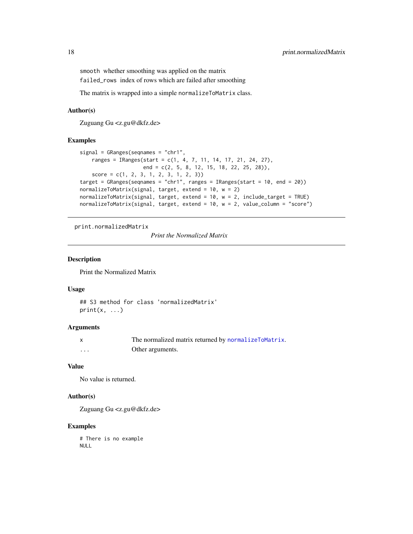<span id="page-17-0"></span>smooth whether smoothing was applied on the matrix failed\_rows index of rows which are failed after smoothing

The matrix is wrapped into a simple normalizeToMatrix class.

#### Author(s)

Zuguang Gu <z.gu@dkfz.de>

# Examples

```
signal = GRanges(seqnames = "chr1",
   ranges = IRanges(start = c(1, 4, 7, 11, 14, 17, 21, 24, 27),
                    end = c(2, 5, 8, 12, 15, 18, 22, 25, 28)),
    score = c(1, 2, 3, 1, 2, 3, 1, 2, 3))target = GRanges(seqnames = "chr1", ranges = IRanges(start = 10, end = 20))
normalizeToMatrix(signal, target, extend = 10, w = 2)
normalizeToMatrix(signal, target, extend = 10, w = 2, include_target = TRUE)
normalizeToMatrix(signal, target, extend = 10, w = 2, value_column = "score")
```
print.normalizedMatrix

*Print the Normalized Matrix*

## Description

Print the Normalized Matrix

# Usage

```
## S3 method for class 'normalizedMatrix'
print(x, \ldots)
```
#### **Arguments**

|   | The normalized matrix returned by normalizeToMatrix. |
|---|------------------------------------------------------|
| . | Other arguments.                                     |

#### Value

No value is returned.

### Author(s)

Zuguang Gu <z.gu@dkfz.de>

# Examples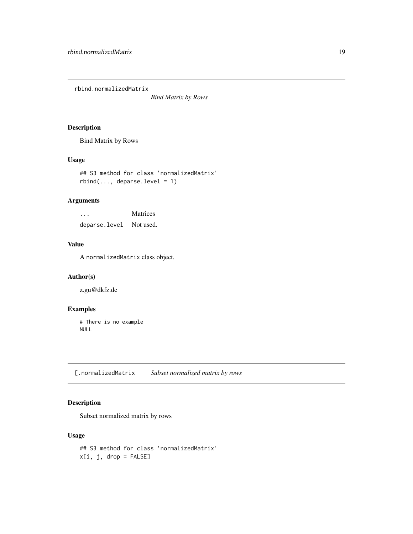<span id="page-18-0"></span>rbind.normalizedMatrix

*Bind Matrix by Rows*

# Description

Bind Matrix by Rows

# Usage

## S3 method for class 'normalizedMatrix'  $rbind(..., deparse.level = 1)$ 

# Arguments

... Matrices deparse.level Not used.

# Value

A normalizedMatrix class object.

# Author(s)

z.gu@dkfz.de

# Examples

# There is no example NULL

[.normalizedMatrix *Subset normalized matrix by rows*

# Description

Subset normalized matrix by rows

# Usage

```
## S3 method for class 'normalizedMatrix'
x[i, j, drop = FALSE]
```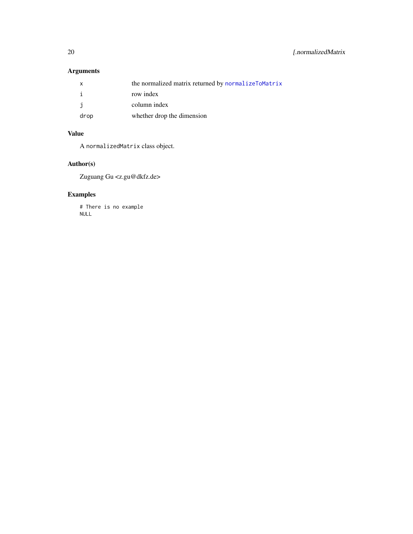# <span id="page-19-0"></span>Arguments

|      | the normalized matrix returned by normalizeToMatrix |
|------|-----------------------------------------------------|
|      | row index                                           |
|      | column index                                        |
| drop | whether drop the dimension                          |

# Value

A normalizedMatrix class object.

# Author(s)

Zuguang Gu <z.gu@dkfz.de>

# Examples